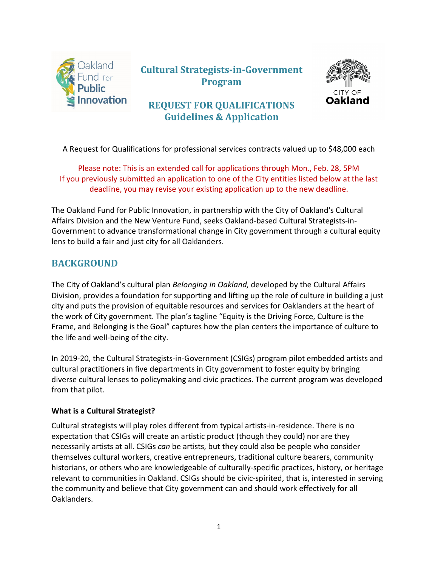

# **Cultural Strategists-in-Government Program**



## **REQUEST FOR QUALIFICATIONS Guidelines & Application**

A Request for Qualifications for professional services contracts valued up to \$48,000 each

Please note: This is an extended call for applications through Mon., Feb. 28, 5PM If you previously submitted an application to one of the City entities listed below at the last deadline, you may revise your existing application up to the new deadline.

The Oakland Fund for Public Innovation, in partnership with the City of Oakland's Cultural Affairs Division and the New Venture Fund, seeks Oakland-based Cultural Strategists-in-Government to advance transformational change in City government through a cultural equity lens to build a fair and just city for all Oaklanders.

## **BACKGROUND**

The City of Oakland's cultural plan *[Belonging in Oakland,](https://www.oaklandca.gov/resources/cultural-plan)* developed by the Cultural Affairs Division, provides a foundation for supporting and lifting up the role of culture in building a just city and puts the provision of equitable resources and services for Oaklanders at the heart of the work of City government. The plan's tagline "Equity is the Driving Force, Culture is the Frame, and Belonging is the Goal" captures how the plan centers the importance of culture to the life and well-being of the city.

In 2019-20, the Cultural Strategists-in-Government (CSIGs) program pilot embedded artists and cultural practitioners in five departments in City government to foster equity by bringing diverse cultural lenses to policymaking and civic practices. The current program was developed from that pilot.

### **What is a Cultural Strategist?**

Cultural strategists will play roles different from typical artists-in-residence. There is no expectation that CSIGs will create an artistic product (though they could) nor are they necessarily artists at all. CSIGs *can* be artists, but they could also be people who consider themselves cultural workers, creative entrepreneurs, traditional culture bearers, community historians, or others who are knowledgeable of culturally-specific practices, history, or heritage relevant to communities in Oakland. CSIGs should be civic-spirited, that is, interested in serving the community and believe that City government can and should work effectively for all Oaklanders.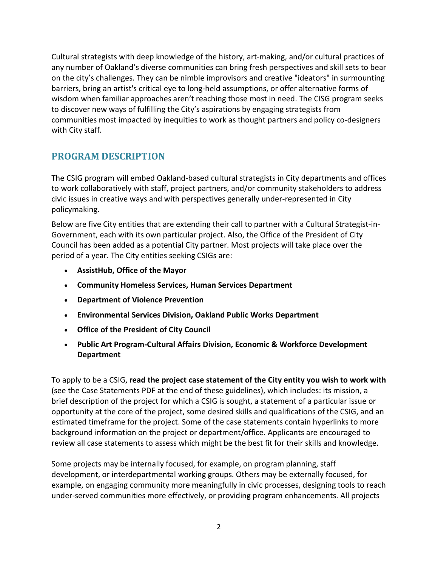Cultural strategists with deep knowledge of the history, art-making, and/or cultural practices of any number of Oakland's diverse communities can bring fresh perspectives and skill sets to bear on the city's challenges. They can be nimble improvisors and creative "ideators" in surmounting barriers, bring an artist's critical eye to long-held assumptions, or offer alternative forms of wisdom when familiar approaches aren't reaching those most in need. The CISG program seeks to discover new ways of fulfilling the City's aspirations by engaging strategists from communities most impacted by inequities to work as thought partners and policy co-designers with City staff.

## **PROGRAM DESCRIPTION**

The CSIG program will embed Oakland-based cultural strategists in City departments and offices to work collaboratively with staff, project partners, and/or community stakeholders to address civic issues in creative ways and with perspectives generally under-represented in City policymaking.

Below are five City entities that are extending their call to partner with a Cultural Strategist-in-Government, each with its own particular project. Also, the Office of the President of City Council has been added as a potential City partner. Most projects will take place over the period of a year. The City entities seeking CSIGs are:

- **AssistHub, Office of the Mayor**
- **Community Homeless Services, Human Services Department**
- **Department of Violence Prevention**
- **Environmental Services Division, Oakland Public Works Department**
- **Office of the President of City Council**
- **Public Art Program-Cultural Affairs Division, Economic & Workforce Development Department**

To apply to be a CSIG, **read the project case statement of the City entity you wish to work with**  (see the Case Statements PDF at the end of these guidelines), which includes: its mission, a brief description of the project for which a CSIG is sought, a statement of a particular issue or opportunity at the core of the project, some desired skills and qualifications of the CSIG, and an estimated timeframe for the project. Some of the case statements contain hyperlinks to more background information on the project or department/office. Applicants are encouraged to review all case statements to assess which might be the best fit for their skills and knowledge.

Some projects may be internally focused, for example, on program planning, staff development, or interdepartmental working groups. Others may be externally focused, for example, on engaging community more meaningfully in civic processes, designing tools to reach under-served communities more effectively, or providing program enhancements. All projects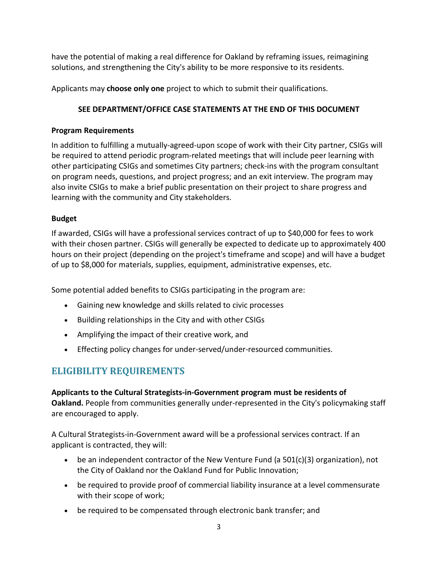have the potential of making a real difference for Oakland by reframing issues, reimagining solutions, and strengthening the City's ability to be more responsive to its residents.

Applicants may **choose only one** project to which to submit their qualifications.

### **SEE DEPARTMENT/OFFICE CASE STATEMENTS AT THE END OF THIS DOCUMENT**

### **Program Requirements**

In addition to fulfilling a mutually-agreed-upon scope of work with their City partner, CSIGs will be required to attend periodic program-related meetings that will include peer learning with other participating CSIGs and sometimes City partners; check-ins with the program consultant on program needs, questions, and project progress; and an exit interview. The program may also invite CSIGs to make a brief public presentation on their project to share progress and learning with the community and City stakeholders.

### **Budget**

If awarded, CSIGs will have a professional services contract of up to \$40,000 for fees to work with their chosen partner. CSIGs will generally be expected to dedicate up to approximately 400 hours on their project (depending on the project's timeframe and scope) and will have a budget of up to \$8,000 for materials, supplies, equipment, administrative expenses, etc.

Some potential added benefits to CSIGs participating in the program are:

- Gaining new knowledge and skills related to civic processes
- Building relationships in the City and with other CSIGs
- Amplifying the impact of their creative work, and
- Effecting policy changes for under-served/under-resourced communities.

# **ELIGIBILITY REQUIREMENTS**

**Applicants to the Cultural Strategists-in-Government program must be residents of Oakland.** People from communities generally under-represented in the City's policymaking staff are encouraged to apply.

A Cultural Strategists-in-Government award will be a professional services contract. If an applicant is contracted, they will:

- be an independent contractor of the New Venture Fund (a 501(c)(3) organization), not the City of Oakland nor the Oakland Fund for Public Innovation;
- be required to provide proof of commercial liability insurance at a level commensurate with their scope of work;
- be required to be compensated through electronic bank transfer; and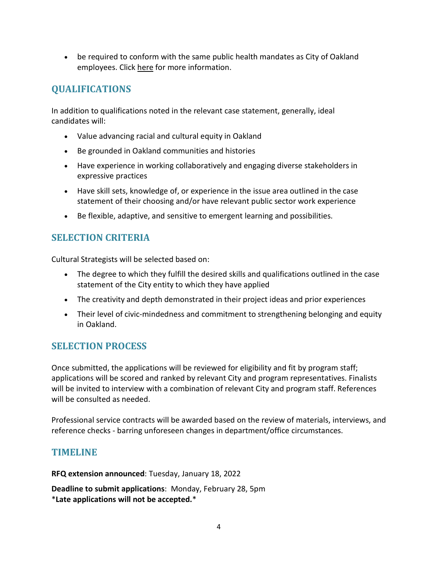• be required to conform with the same public health mandates as City of Oakland employees. Click [here](https://www.oaklandca.gov/news/2021/city-of-oakland-mandates-employee-vaccinations) for more information.

# **QUALIFICATIONS**

In addition to qualifications noted in the relevant case statement, generally, ideal candidates will:

- Value advancing racial and cultural equity in Oakland
- Be grounded in Oakland communities and histories
- Have experience in working collaboratively and engaging diverse stakeholders in expressive practices
- Have skill sets, knowledge of, or experience in the issue area outlined in the case statement of their choosing and/or have relevant public sector work experience
- Be flexible, adaptive, and sensitive to emergent learning and possibilities.

## **SELECTION CRITERIA**

Cultural Strategists will be selected based on:

- The degree to which they fulfill the desired skills and qualifications outlined in the case statement of the City entity to which they have applied
- The creativity and depth demonstrated in their project ideas and prior experiences
- Their level of civic-mindedness and commitment to strengthening belonging and equity in Oakland.

## **SELECTION PROCESS**

Once submitted, the applications will be reviewed for eligibility and fit by program staff; applications will be scored and ranked by relevant City and program representatives. Finalists will be invited to interview with a combination of relevant City and program staff. References will be consulted as needed.

Professional service contracts will be awarded based on the review of materials, interviews, and reference checks - barring unforeseen changes in department/office circumstances.

## **TIMELINE**

**RFQ extension announced**: Tuesday, January 18, 2022

**Deadline to submit applications**: Monday, February 28, 5pm \***Late applications will not be accepted.**\*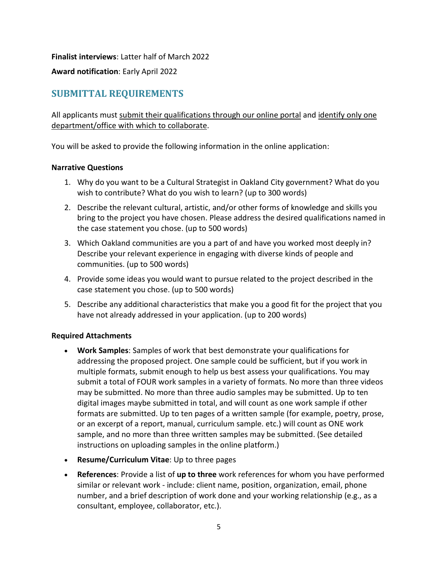**Finalist interviews**: Latter half of March 2022

**Award notification**: Early April 2022

## **SUBMITTAL REQUIREMENTS**

All applicants must submit their qualifications through our online portal and identify only one department/office with which to collaborate.

You will be asked to provide the following information in the online application:

#### **Narrative Questions**

- 1. Why do you want to be a Cultural Strategist in Oakland City government? What do you wish to contribute? What do you wish to learn? (up to 300 words)
- 2. Describe the relevant cultural, artistic, and/or other forms of knowledge and skills you bring to the project you have chosen. Please address the desired qualifications named in the case statement you chose. (up to 500 words)
- 3. Which Oakland communities are you a part of and have you worked most deeply in? Describe your relevant experience in engaging with diverse kinds of people and communities. (up to 500 words)
- 4. Provide some ideas you would want to pursue related to the project described in the case statement you chose. (up to 500 words)
- 5. Describe any additional characteristics that make you a good fit for the project that you have not already addressed in your application. (up to 200 words)

### **Required Attachments**

- **Work Samples**: Samples of work that best demonstrate your qualifications for addressing the proposed project. One sample could be sufficient, but if you work in multiple formats, submit enough to help us best assess your qualifications. You may submit a total of FOUR work samples in a variety of formats. No more than three videos may be submitted. No more than three audio samples may be submitted. Up to ten digital images maybe submitted in total, and will count as one work sample if other formats are submitted. Up to ten pages of a written sample (for example, poetry, prose, or an excerpt of a report, manual, curriculum sample. etc.) will count as ONE work sample, and no more than three written samples may be submitted. (See detailed instructions on uploading samples in the online platform.)
- **Resume/Curriculum Vitae**: Up to three pages
- **References**: Provide a list of **up to three** work references for whom you have performed similar or relevant work - include: client name, position, organization, email, phone number, and a brief description of work done and your working relationship (e.g., as a consultant, employee, collaborator, etc.).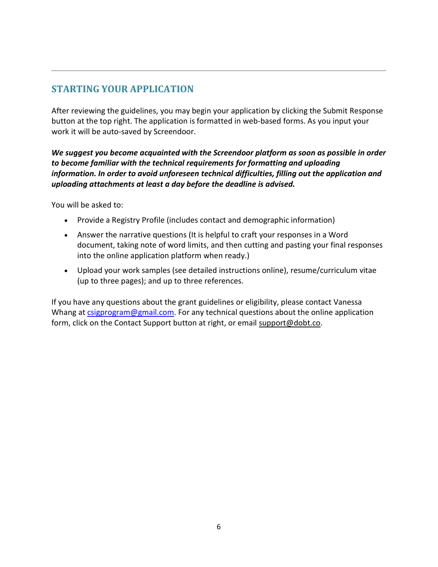## **STARTING YOUR APPLICATION**

After reviewing the guidelines, you may begin your application by clicking the Submit Response button at the top right. The application is formatted in web-based forms. As you input your work it will be auto-saved by Screendoor.

*We suggest you become acquainted with the Screendoor platform as soon as possible in order to become familiar with the technical requirements for formatting and uploading information. In order to avoid unforeseen technical difficulties, filling out the application and uploading attachments at least a day before the deadline is advised.*

You will be asked to:

- Provide a Registry Profile (includes contact and demographic information)
- Answer the narrative questions (It is helpful to craft your responses in a Word document, taking note of word limits, and then cutting and pasting your final responses into the online application platform when ready.)
- Upload your work samples (see detailed instructions online), resume/curriculum vitae (up to three pages); and up to three references.

If you have any questions about the grant guidelines or eligibility, please contact Vanessa Whang at [csigprogram@gmail.com.](mailto:csigprogram@gmail.com) For any technical questions about the online application form, click on the Contact Support button at right, or email [support@dobt.co.](mailto:support@dobt.co)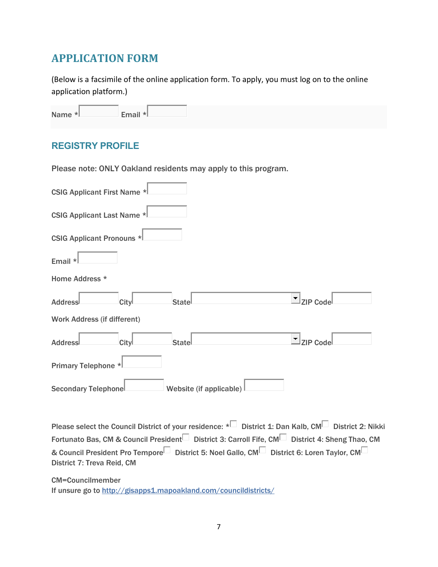# **APPLICATION FORM**

(Below is a facsimile of the online application form. To apply, you must log on to the online application platform.)

| Name *L | Email * |  |
|---------|---------|--|
|         |         |  |

### **REGISTRY PROFILE**

Please note: ONLY Oakland residents may apply to this program.

| <b>CSIG Applicant First Name *</b> |                         |                 |
|------------------------------------|-------------------------|-----------------|
| <b>CSIG Applicant Last Name *</b>  |                         |                 |
| <b>CSIG Applicant Pronouns *</b>   |                         |                 |
| Email *                            |                         |                 |
| Home Address *                     |                         |                 |
| City<br><b>Addressl</b>            | Statel                  | $\Box$ ZIP Code |
| <b>Work Address (if different)</b> |                         |                 |
| City<br><b>Addressl</b>            | Statel                  | $\Box$ ZIP Code |
| Primary Telephone *                |                         |                 |
| <b>Secondary Telephonel</b>        | Website (if applicable) |                 |

Please select the Council District of your residence: \* District 1: Dan Kalb, CM District 2: Nikki Fortunato Bas, CM & Council President District 3: Carroll Fife, CM District 4: Sheng Thao, CM & Council President Pro Tempore District 5: Noel Gallo, CM District 6: Loren Taylor, CM D District 7: Treva Reid, CM

CM=Councilmember

If unsure go to <http://gisapps1.mapoakland.com/councildistricts/>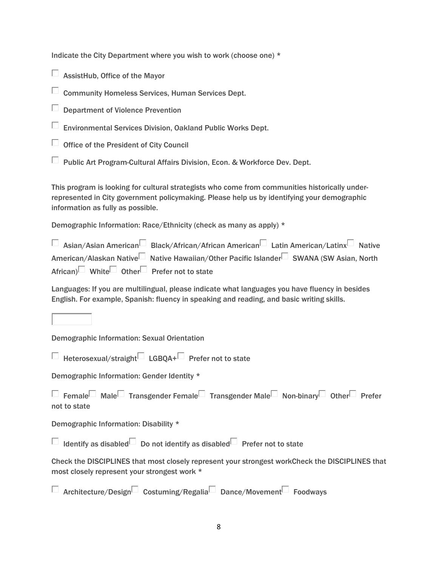Indicate the City Department where you wish to work (choose one) \*

 $\Box$  AssistHub, Office of the Mayor

 $\Box$  Community Homeless Services, Human Services Dept.

Department of Violence Prevention

 $\Box$  Environmental Services Division, Oakland Public Works Dept.

 $\Box$  Office of the President of City Council

 $\Box$  Public Art Program-Cultural Affairs Division, Econ. & Workforce Dev. Dept.

This program is looking for cultural strategists who come from communities historically underrepresented in City government policymaking. Please help us by identifying your demographic information as fully as possible.

Demographic Information: Race/Ethnicity (check as many as apply) \*

| □ Asian/Asian American□ Black/African/African American□ Latin American/Latinx□ Native |  |
|---------------------------------------------------------------------------------------|--|
| American/Alaskan Native Native Hawaiian/Other Pacific Islander SWANA (SW Asian, North |  |
| African) White Other Prefer not to state                                              |  |

Languages: If you are multilingual, please indicate what languages you have fluency in besides English. For example, Spanish: fluency in speaking and reading, and basic writing skills.

Demographic Information: Sexual Orientation

 $\Box$  Heterosexual/straight $\Box$  LGBOA+ $\Box$  Prefer not to state

Demographic Information: Gender Identity \*

□ Female Male Transgender Female Transgender Male Non-binary Other Prefer not to state

Demographic Information: Disability \*

 $\Box$  Identify as disabled Do not identify as disabled Prefer not to state

Check the DISCIPLINES that most closely represent your strongest workCheck the DISCIPLINES that most closely represent your strongest work \*

 $\Box$  Architecture/Design $\Box$  Costuming/Regalia Dance/Movement Foodways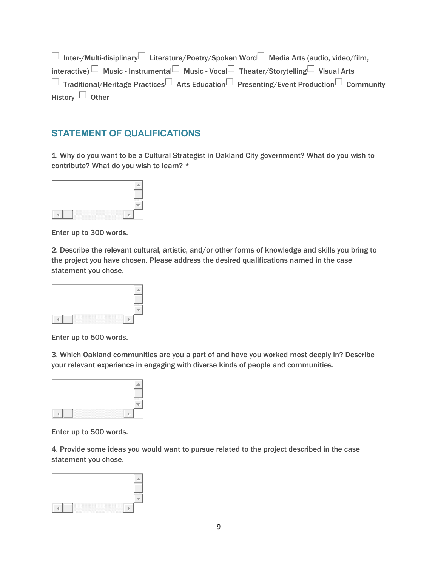$\Box$  Inter-/Multi-disiplinary Literature/Poetry/Spoken Word Media Arts (audio, video/film, interactive)  $\Box$  Music - Instrumental Music - Vocal  $\Box$  Theater/Storytelling Visual Arts  $\Box$  Traditional/Heritage Practices  $\Box$  Arts Education Presenting/Event Production Community History  $\Box$  Other

### **STATEMENT OF QUALIFICATIONS**

1. Why do you want to be a Cultural Strategist in Oakland City government? What do you wish to contribute? What do you wish to learn? \*



Enter up to 300 words.

2. Describe the relevant cultural, artistic, and/or other forms of knowledge and skills you bring to the project you have chosen. Please address the desired qualifications named in the case statement you chose.



Enter up to 500 words.

3. Which Oakland communities are you a part of and have you worked most deeply in? Describe your relevant experience in engaging with diverse kinds of people and communities.



Enter up to 500 words.

4. Provide some ideas you would want to pursue related to the project described in the case statement you chose.

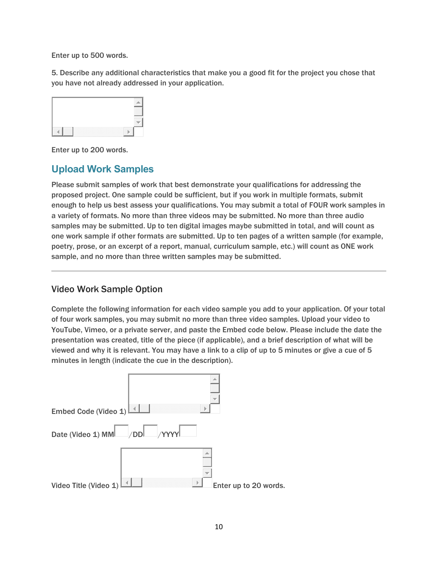Enter up to 500 words.

5. Describe any additional characteristics that make you a good fit for the project you chose that you have not already addressed in your application.



Enter up to 200 words.

## **Upload Work Samples**

Please submit samples of work that best demonstrate your qualifications for addressing the proposed project. One sample could be sufficient, but if you work in multiple formats, submit enough to help us best assess your qualifications. You may submit a total of FOUR work samples in a variety of formats. No more than three videos may be submitted. No more than three audio samples may be submitted. Up to ten digital images maybe submitted in total, and will count as one work sample if other formats are submitted. Up to ten pages of a written sample (for example, poetry, prose, or an excerpt of a report, manual, curriculum sample, etc.) will count as ONE work sample, and no more than three written samples may be submitted.

### Video Work Sample Option

Complete the following information for each video sample you add to your application. Of your total of four work samples, you may submit no more than three video samples. Upload your video to YouTube, Vimeo, or a private server, and paste the Embed code below. Please include the date the presentation was created, title of the piece (if applicable), and a brief description of what will be viewed and why it is relevant. You may have a link to a clip of up to 5 minutes or give a cue of 5 minutes in length (indicate the cue in the description).

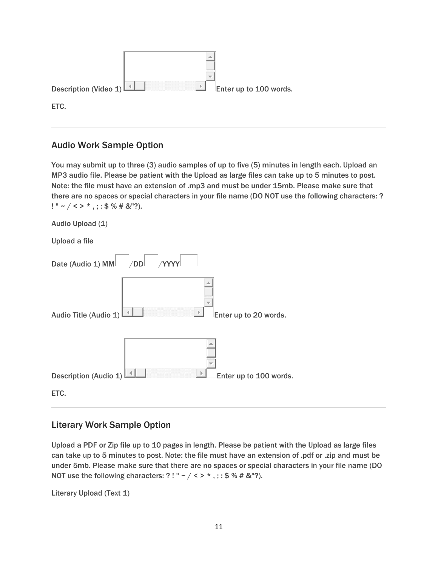| Description (Video 1) | $\mathcal{A}_1$ | Þ | Enter up to 100 words. |
|-----------------------|-----------------|---|------------------------|
| ETC.                  |                 |   |                        |

### Audio Work Sample Option

You may submit up to three (3) audio samples of up to five (5) minutes in length each. Upload an MP3 audio file. Please be patient with the Upload as large files can take up to 5 minutes to post. Note: the file must have an extension of .mp3 and must be under 15mb. Please make sure that there are no spaces or special characters in your file name (DO NOT use the following characters: ?  $! " \sim / \langle > \rangle *,$ ; : \$ % # &"?).

| Audio Upload (1)                                             |
|--------------------------------------------------------------|
| <b>Upload a file</b>                                         |
| Date (Audio 1) MM /DD / YYYY                                 |
| Audio Title (Audio 1)<br>Enter up to 20 words.               |
| Þ<br>Description (Audio 1)<br>Enter up to 100 words.<br>ETC. |

### Literary Work Sample Option

Upload a PDF or Zip file up to 10 pages in length. Please be patient with the Upload as large files can take up to 5 minutes to post. Note: the file must have an extension of .pdf or .zip and must be under 5mb. Please make sure that there are no spaces or special characters in your file name (DO NOT use the following characters: ?! " ~ / < > \*, ; : \$ % # & "?).

Literary Upload (Text 1)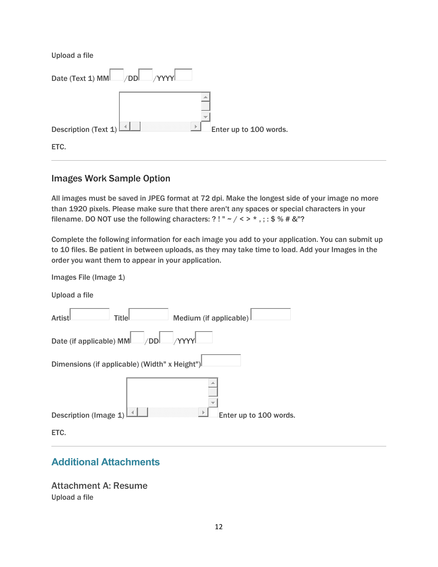Upload a file

| Date (Text 1) MM /DD /YYYY |   |                        |  |
|----------------------------|---|------------------------|--|
|                            |   |                        |  |
| Description (Text $1$ )    | Þ | Enter up to 100 words. |  |
| ETC.                       |   |                        |  |

### Images Work Sample Option

Images File (Image 1)

All images must be saved in JPEG format at 72 dpi. Make the longest side of your image no more than 1920 pixels. Please make sure that there aren't any spaces or special characters in your filename. DO NOT use the following characters: ?! " ~ / < > \*, ; : \$ % # & "?

Complete the following information for each image you add to your application. You can submit up to 10 files. Be patient in between uploads, as they may take time to load. Add your Images in the order you want them to appear in your application.

| Upload a file                                                          |
|------------------------------------------------------------------------|
| Medium (if applicable)<br>Titlel<br>Artist <sup>l</sup>                |
| $\mathsf{L}$ <sub>DD</sub> $\mathsf{L}$<br>Date (if applicable) MML___ |
| Dimensions (if applicable) (Width" x Height")                          |
|                                                                        |
| Description (Image 1)<br>Enter up to 100 words.                        |
| ETC.                                                                   |

## **Additional Attachments**

Attachment A: Resume Upload a file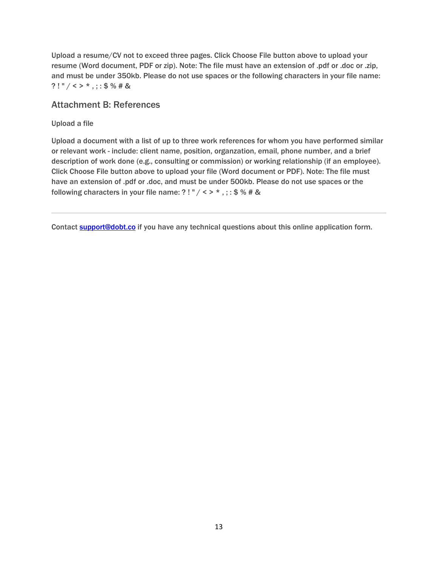Upload a resume/CV not to exceed three pages. Click Choose File button above to upload your resume (Word document, PDF or zip). Note: The file must have an extension of .pdf or .doc or .zip, and must be under 350kb. Please do not use spaces or the following characters in your file name: ?! "  $/$  < > \*, ; : \$ % # &

### Attachment B: References

#### Upload a file

Upload a document with a list of up to three work references for whom you have performed similar or relevant work - include: client name, position, organzation, email, phone number, and a brief description of work done (e.g., consulting or commission) or working relationship (if an employee). Click Choose File button above to upload your file (Word document or PDF). Note: The file must have an extension of .pdf or .doc, and must be under 500kb. Please do not use spaces or the following characters in your file name: ?! " / < > \*, :: \$ % # &

Contact **support@dobt.co** if you have any technical questions about this online application form.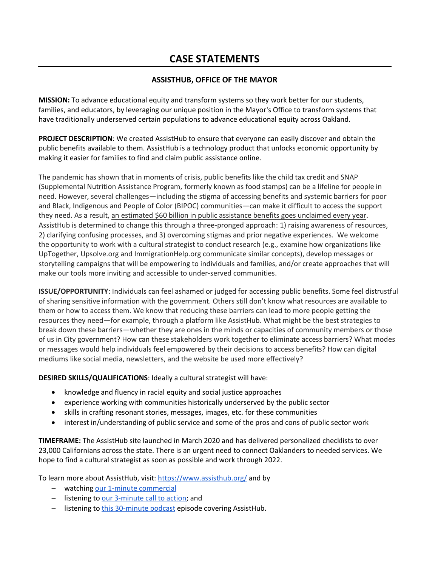## **CASE STATEMENTS**

#### **ASSISTHUB, OFFICE OF THE MAYOR**

**MISSION:** To advance educational equity and transform systems so they work better for our students, families, and educators, by leveraging our unique position in the Mayor's Office to transform systems that have traditionally underserved certain populations to advance educational equity across Oakland.

**PROJECT DESCRIPTION**: We created AssistHub to ensure that everyone can easily discover and obtain the public benefits available to them. AssistHub is a technology product that unlocks economic opportunity by making it easier for families to find and claim public assistance online.

The pandemic has shown that in moments of crisis, public benefits like the child tax credit and SNAP (Supplemental Nutrition Assistance Program, formerly known as food stamps) can be a lifeline for people in need. However, several challenges—including the stigma of accessing benefits and systemic barriers for poor and Black, Indigenous and People of Color (BIPOC) communities—can make it difficult to access the support they need. As a result, an estimated \$60 billion in public assistance benefits goes unclaimed every year. AssistHub is determined to change this through a three-pronged approach: 1) raising awareness of resources, 2) clarifying confusing processes, and 3) overcoming stigmas and prior negative experiences. We welcome the opportunity to work with a cultural strategist to conduct research (e.g., examine how organizations like UpTogether, Upsolve.org and ImmigrationHelp.org communicate similar concepts), develop messages or storytelling campaigns that will be empowering to individuals and families, and/or create approaches that will make our tools more inviting and accessible to under-served communities.

**ISSUE/OPPORTUNITY**: Individuals can feel ashamed or judged for accessing public benefits. Some feel distrustful of sharing sensitive information with the government. Others still don't know what resources are available to them or how to access them. We know that reducing these barriers can lead to more people getting the resources they need—for example, through a platform like AssistHub. What might be the best strategies to break down these barriers—whether they are ones in the minds or capacities of community members or those of us in City government? How can these stakeholders work together to eliminate access barriers? What modes or messages would help individuals feel empowered by their decisions to access benefits? How can digital mediums like social media, newsletters, and the website be used more effectively?

**DESIRED SKILLS/QUALIFICATIONS**: Ideally a cultural strategist will have:

- knowledge and fluency in racial equity and social justice approaches
- experience working with communities historically underserved by the public sector
- skills in crafting resonant stories, messages, images, etc. for these communities
- interest in/understanding of public service and some of the pros and cons of public sector work

**TIMEFRAME:** The AssistHub site launched in March 2020 and has delivered personalized checklists to over 23,000 Californians across the state. There is an urgent need to connect Oaklanders to needed services. We hope to find a cultural strategist as soon as possible and work through 2022.

To learn more about AssistHub, visit:<https://www.assisthub.org/> and by

- − watching [our 1-minute commercial](https://www.youtube.com/watch?v=-1eOMdFwr-k)
- − listening to [our 3-minute call to action;](https://youtu.be/tdemtNvhsvg) and
- − listening to [this 30-minute podcast](https://www.goodgoodgood.co/podcast/meet-the-app-that-helps-people-find-public-benefits?utm_campaign=WGIT&utm_medium=email&_hsmi=175745103&_hsenc=p2ANqtz-97TGu5OtO4WS6dh0qytJvNzteH7m2J-KmA397Nyn90hNNSvD8ITWHssMt3tL7kbNTteXmpRkZIJdwfMwyrScrun0MCjQ&utm_content=175743715&utm_source=hs_email) episode covering AssistHub.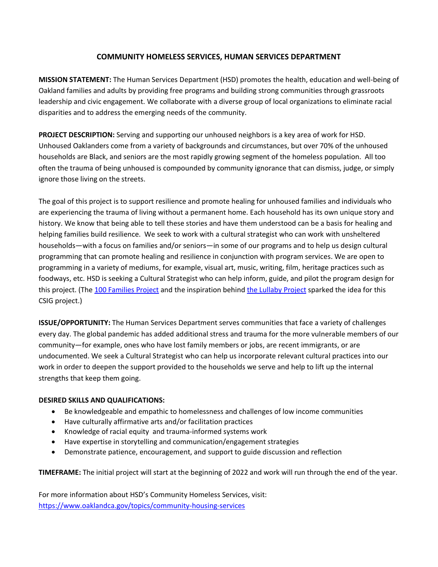#### **COMMUNITY HOMELESS SERVICES, HUMAN SERVICES DEPARTMENT**

**MISSION STATEMENT:** The Human Services Department (HSD) promotes the health, education and well-being of Oakland families and adults by providing free programs and building strong communities through grassroots leadership and civic engagement. We collaborate with a diverse group of local organizations to eliminate racial disparities and to address the emerging needs of the community.

**PROJECT DESCRIPTION:** Serving and supporting our unhoused neighbors is a key area of work for HSD. Unhoused Oaklanders come from a variety of backgrounds and circumstances, but over 70% of the unhoused households are Black, and seniors are the most rapidly growing segment of the homeless population. All too often the trauma of being unhoused is compounded by community ignorance that can dismiss, judge, or simply ignore those living on the streets.

The goal of this project is to support resilience and promote healing for unhoused families and individuals who are experiencing the trauma of living without a permanent home. Each household has its own unique story and history. We know that being able to tell these stories and have them understood can be a basis for healing and helping families build resilience. We seek to work with a cultural strategist who can work with unsheltered households—with a focus on families and/or seniors—in some of our programs and to help us design cultural programming that can promote healing and resilience in conjunction with program services. We are open to programming in a variety of mediums, for example, visual art, music, writing, film, heritage practices such as foodways, etc. HSD is seeking a Cultural Strategist who can help inform, guide, and pilot the program design for this project. (The [100 Families Project](http://www.acgov.org/arts/pdfs/ACAC_100_Families_Info_Sheet.pdf) and the inspiration behind [the Lullaby Project](https://www.carnegiehall.org/Education/Programs/Lullaby-Project) sparked the idea for this CSIG project.)

**ISSUE/OPPORTUNITY:** The Human Services Department serves communities that face a variety of challenges every day. The global pandemic has added additional stress and trauma for the more vulnerable members of our community—for example, ones who have lost family members or jobs, are recent immigrants, or are undocumented. We seek a Cultural Strategist who can help us incorporate relevant cultural practices into our work in order to deepen the support provided to the households we serve and help to lift up the internal strengths that keep them going.

#### **DESIRED SKILLS AND QUALIFICATIONS:**

- Be knowledgeable and empathic to homelessness and challenges of low income communities
- Have culturally affirmative arts and/or facilitation practices
- Knowledge of racial equity and trauma-informed systems work
- Have expertise in storytelling and communication/engagement strategies
- Demonstrate patience, encouragement, and support to guide discussion and reflection

**TIMEFRAME:** The initial project will start at the beginning of 2022 and work will run through the end of the year.

For more information about HSD's Community Homeless Services, visit: <https://www.oaklandca.gov/topics/community-housing-services>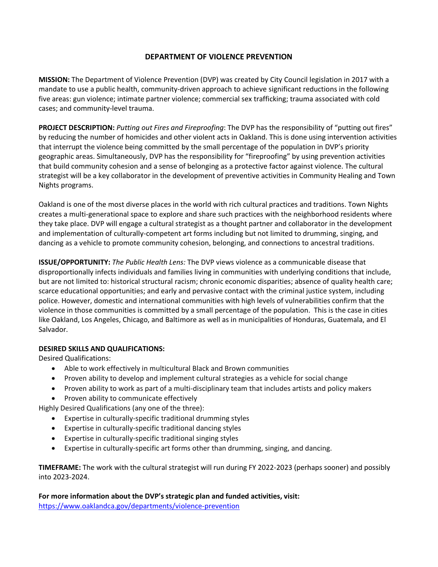#### **DEPARTMENT OF VIOLENCE PREVENTION**

**MISSION:** The Department of Violence Prevention (DVP) was created by City Council legislation in 2017 with a mandate to use a public health, community-driven approach to achieve significant reductions in the following five areas: gun violence; intimate partner violence; commercial sex trafficking; trauma associated with cold cases; and community-level trauma.

**PROJECT DESCRIPTION:** *Putting out Fires and Fireproofing*: The DVP has the responsibility of "putting out fires" by reducing the number of homicides and other violent acts in Oakland. This is done using intervention activities that interrupt the violence being committed by the small percentage of the population in DVP's priority geographic areas. Simultaneously, DVP has the responsibility for "fireproofing" by using prevention activities that build community cohesion and a sense of belonging as a protective factor against violence. The cultural strategist will be a key collaborator in the development of preventive activities in Community Healing and Town Nights programs.

Oakland is one of the most diverse places in the world with rich cultural practices and traditions. Town Nights creates a multi-generational space to explore and share such practices with the neighborhood residents where they take place. DVP will engage a cultural strategist as a thought partner and collaborator in the development and implementation of culturally-competent art forms including but not limited to drumming, singing, and dancing as a vehicle to promote community cohesion, belonging, and connections to ancestral traditions.

**ISSUE/OPPORTUNITY:** *The Public Health Lens:* The DVP views violence as a communicable disease that disproportionally infects individuals and families living in communities with underlying conditions that include, but are not limited to: historical structural racism; chronic economic disparities; absence of quality health care; scarce educational opportunities; and early and pervasive contact with the criminal justice system, including police. However, domestic and international communities with high levels of vulnerabilities confirm that the violence in those communities is committed by a small percentage of the population. This is the case in cities like Oakland, Los Angeles, Chicago, and Baltimore as well as in municipalities of Honduras, Guatemala, and El Salvador.

#### **DESIRED SKILLS AND QUALIFICATIONS:**

Desired Qualifications:

- Able to work effectively in multicultural Black and Brown communities
- Proven ability to develop and implement cultural strategies as a vehicle for social change
- Proven ability to work as part of a multi-disciplinary team that includes artists and policy makers
- Proven ability to communicate effectively

Highly Desired Qualifications (any one of the three):

- Expertise in culturally-specific traditional drumming styles
- Expertise in culturally-specific traditional dancing styles
- Expertise in culturally-specific traditional singing styles
- Expertise in culturally-specific art forms other than drumming, singing, and dancing.

**TIMEFRAME:** The work with the cultural strategist will run during FY 2022-2023 (perhaps sooner) and possibly into 2023-2024.

**For more information about the DVP's strategic plan and funded activities, visit:** <https://www.oaklandca.gov/departments/violence-prevention>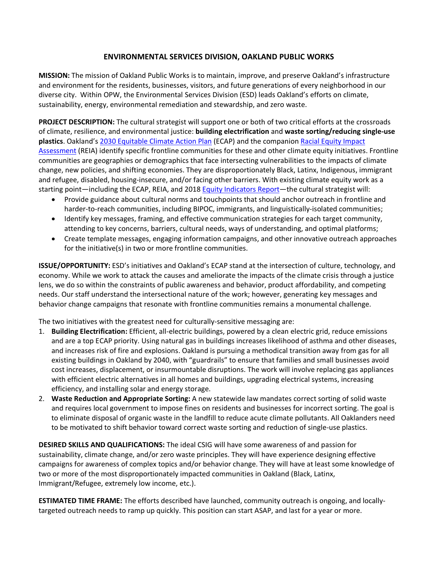#### **ENVIRONMENTAL SERVICES DIVISION, OAKLAND PUBLIC WORKS**

**MISSION:** The mission of Oakland Public Works is to maintain, improve, and preserve Oakland's infrastructure and environment for the residents, businesses, visitors, and future generations of every neighborhood in our diverse city. Within OPW, the Environmental Services Division (ESD) leads Oakland's efforts on climate, sustainability, energy, environmental remediation and stewardship, and zero waste.

**PROJECT DESCRIPTION:** The cultural strategist will support one or both of two critical efforts at the crossroads of climate, resilience, and environmental justice: **building electrification** and **waste sorting/reducing single-use plastics**. Oakland'[s 2030 Equitable Climate Action Plan](https://cao-94612.s3.amazonaws.com/documents/Oakland-ECAP-07-24.pdf) (ECAP) and the companion [Racial Equity Impact](https://cao-94612.s3.amazonaws.com/documents/FINAL_Complete_EF-Racial-Equity-Impact-Assessment_7.3.2020_v2.pdf)  [Assessment](https://cao-94612.s3.amazonaws.com/documents/FINAL_Complete_EF-Racial-Equity-Impact-Assessment_7.3.2020_v2.pdf) (REIA) identify specific frontline communities for these and other climate equity initiatives. Frontline communities are geographies or demographics that face intersecting vulnerabilities to the impacts of climate change, new policies, and shifting economies. They are disproportionately Black, Latinx, Indigenous, immigrant and refugee, disabled, housing-insecure, and/or facing other barriers. With existing climate equity work as a starting point—including the ECAP, REIA, and 2018 [Equity Indicators Report—](https://cao-94612.s3.amazonaws.com/documents/2018-Equity-Indicators-Full-Report.pdf)the cultural strategist will:

- Provide guidance about cultural norms and touchpoints that should anchor outreach in frontline and harder-to-reach communities, including BIPOC, immigrants, and linguistically-isolated communities;
- Identify key messages, framing, and effective communication strategies for each target community, attending to key concerns, barriers, cultural needs, ways of understanding, and optimal platforms;
- Create template messages, engaging information campaigns, and other innovative outreach approaches for the initiative(s) in two or more frontline communities.

**ISSUE/OPPORTUNITY:** ESD's initiatives and Oakland's ECAP stand at the intersection of culture, technology, and economy. While we work to attack the causes and ameliorate the impacts of the climate crisis through a justice lens, we do so within the constraints of public awareness and behavior, product affordability, and competing needs. Our staff understand the intersectional nature of the work; however, generating key messages and behavior change campaigns that resonate with frontline communities remains a monumental challenge.

The two initiatives with the greatest need for culturally-sensitive messaging are:

- 1. **Building Electrification:** Efficient, all-electric buildings, powered by a clean electric grid, reduce emissions and are a top ECAP priority. Using natural gas in buildings increases likelihood of asthma and other diseases, and increases risk of fire and explosions. Oakland is pursuing a methodical transition away from gas for all existing buildings in Oakland by 2040, with "guardrails" to ensure that families and small businesses avoid cost increases, displacement, or insurmountable disruptions. The work will involve replacing gas appliances with efficient electric alternatives in all homes and buildings, upgrading electrical systems, increasing efficiency, and installing solar and energy storage.
- 2. **Waste Reduction and Appropriate Sorting:** A new statewide law mandates correct sorting of solid waste and requires local government to impose fines on residents and businesses for incorrect sorting. The goal is to eliminate disposal of organic waste in the landfill to reduce acute climate pollutants. All Oaklanders need to be motivated to shift behavior toward correct waste sorting and reduction of single-use plastics.

**DESIRED SKILLS AND QUALIFICATIONS:** The ideal CSIG will have some awareness of and passion for sustainability, climate change, and/or zero waste principles. They will have experience designing effective campaigns for awareness of complex topics and/or behavior change. They will have at least some knowledge of two or more of the most disproportionately impacted communities in Oakland (Black, Latinx, Immigrant/Refugee, extremely low income, etc.).

**ESTIMATED TIME FRAME:** The efforts described have launched, community outreach is ongoing, and locallytargeted outreach needs to ramp up quickly. This position can start ASAP, and last for a year or more.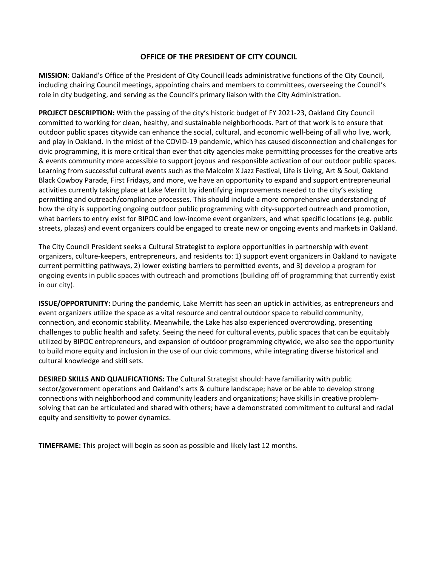#### **OFFICE OF THE PRESIDENT OF CITY COUNCIL**

**MISSION**: Oakland's Office of the President of City Council leads administrative functions of the City Council, including chairing Council meetings, appointing chairs and members to committees, overseeing the Council's role in city budgeting, and serving as the Council's primary liaison with the City Administration.

**PROJECT DESCRIPTION:** With the passing of the city's historic budget of FY 2021-23, Oakland City Council committed to working for clean, healthy, and sustainable neighborhoods. Part of that work is to ensure that outdoor public spaces citywide can enhance the social, cultural, and economic well-being of all who live, work, and play in Oakland. In the midst of the COVID-19 pandemic, which has caused disconnection and challenges for civic programming, it is more critical than ever that city agencies make permitting processes for the creative arts & events community more accessible to support joyous and responsible activation of our outdoor public spaces. Learning from successful cultural events such as the Malcolm X Jazz Festival, Life is Living, Art & Soul, Oakland Black Cowboy Parade, First Fridays, and more, we have an opportunity to expand and support entrepreneurial activities currently taking place at Lake Merritt by identifying improvements needed to the city's existing permitting and outreach/compliance processes. This should include a more comprehensive understanding of how the city is supporting ongoing outdoor public programming with city-supported outreach and promotion, what barriers to entry exist for BIPOC and low-income event organizers, and what specific locations (e.g. public streets, plazas) and event organizers could be engaged to create new or ongoing events and markets in Oakland.

The City Council President seeks a Cultural Strategist to explore opportunities in partnership with event organizers, culture-keepers, entrepreneurs, and residents to: 1) support event organizers in Oakland to navigate current permitting pathways, 2) lower existing barriers to permitted events, and 3) develop a program for ongoing events in public spaces with outreach and promotions (building off of programming that currently exist in our city).

**ISSUE/OPPORTUNITY:** During the pandemic, Lake Merritt has seen an uptick in activities, as entrepreneurs and event organizers utilize the space as a vital resource and central outdoor space to rebuild community, connection, and economic stability. Meanwhile, the Lake has also experienced overcrowding, presenting challenges to public health and safety. Seeing the need for cultural events, public spaces that can be equitably utilized by BIPOC entrepreneurs, and expansion of outdoor programming citywide, we also see the opportunity to build more equity and inclusion in the use of our civic commons, while integrating diverse historical and cultural knowledge and skill sets.

**DESIRED SKILLS AND QUALIFICATIONS:** The Cultural Strategist should: have familiarity with public sector/government operations and Oakland's arts & culture landscape; have or be able to develop strong connections with neighborhood and community leaders and organizations; have skills in creative problemsolving that can be articulated and shared with others; have a demonstrated commitment to cultural and racial equity and sensitivity to power dynamics.

**TIMEFRAME:** This project will begin as soon as possible and likely last 12 months.